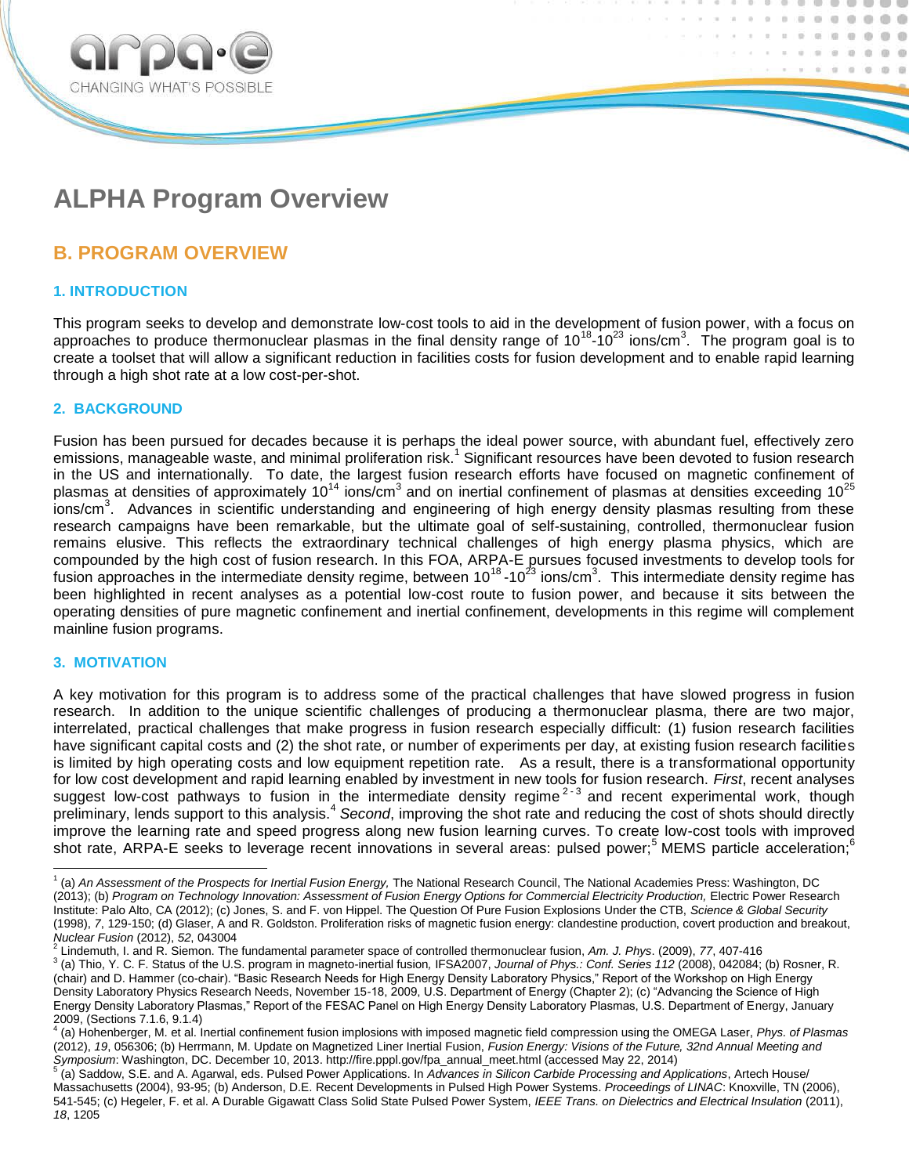

# **ALPHA Program Overview**

### **B. PROGRAM OVERVIEW**

#### **1. INTRODUCTION**

This program seeks to develop and demonstrate low-cost tools to aid in the development of fusion power, with a focus on approaches to produce thermonuclear plasmas in the final density range of 10<sup>18</sup>-10<sup>23</sup> ions/cm<sup>3</sup>. The program goal is to create a toolset that will allow a significant reduction in facilities costs for fusion development and to enable rapid learning through a high shot rate at a low cost-per-shot.

#### **2. BACKGROUND**

Fusion has been pursued for decades because it is perhaps the ideal power source, with abundant fuel, effectively zero emissions, manageable waste, and minimal proliferation risk.<sup>1</sup> Significant resources have been devoted to fusion research in the US and internationally. To date, the largest fusion research efforts have focused on magnetic confinement of plasmas at densities of approximately 10<sup>14</sup> ions/cm<sup>3</sup> and on inertial confinement of plasmas at densities exceeding 10<sup>25</sup> .<br>ions/cm<sup>3</sup>. Advances in scientific understanding and engineering of high energy density plasmas resulting from these research campaigns have been remarkable, but the ultimate goal of self-sustaining, controlled, thermonuclear fusion remains elusive. This reflects the extraordinary technical challenges of high energy plasma physics, which are compounded by the high cost of fusion research. In this FOA, ARPA-E pursues focused investments to develop tools for fusion approaches in the intermediate density regime, between 10<sup>18</sup>-10<sup>23</sup> ions/cm<sup>3</sup>. This intermediate density regime has been highlighted in recent analyses as a potential low-cost route to fusion power, and because it sits between the operating densities of pure magnetic confinement and inertial confinement, developments in this regime will complement mainline fusion programs.

#### **3. MOTIVATION**

A key motivation for this program is to address some of the practical challenges that have slowed progress in fusion research. In addition to the unique scientific challenges of producing a thermonuclear plasma, there are two major, interrelated, practical challenges that make progress in fusion research especially difficult: (1) fusion research facilities have significant capital costs and (2) the shot rate, or number of experiments per day, at existing fusion research facilities is limited by high operating costs and low equipment repetition rate. As a result, there is a transformational opportunity for low cost development and rapid learning enabled by investment in new tools for fusion research. *First*, recent analyses suggest low-cost pathways to fusion in the intermediate density regime<sup>2-3</sup> and recent experimental work, though preliminary, lends support to this analysis.<sup>4</sup> Second, improving the shot rate and reducing the cost of shots should directly improve the learning rate and speed progress along new fusion learning curves. To create low-cost tools with improved shot rate, ARPA-E seeks to leverage recent innovations in several areas: pulsed power;<sup>5</sup> MEMS particle acceleration;<sup>6</sup>

 1 (a) *An Assessment of the Prospects for Inertial Fusion Energy,* The National Research Council, The National Academies Press: Washington, DC (2013); (b) Program on Technology Innovation: Assessment of Fusion Energy Options for Commercial Electricity Production, Electric Power Research Institute: Palo Alto, CA (2012); (c) Jones, S. and F. von Hippel. The Question Of Pure Fusion Explosions Under the CTB, *Science & Global Security*  (1998), *7*, 129-150; (d) Glaser, A and R. Goldston. Proliferation risks of magnetic fusion energy: clandestine production, covert production and breakout, *Nuclear Fusion* (2012), *52*, 043004

<sup>&</sup>lt;sup>2</sup> Lindemuth, I. and R. Siemon. The fundamental parameter space of controlled thermonuclear fusion, *Am. J. Phys.* (2009), 77, 407-416<br><sup>3</sup> (e) This N. C. E. Status of the U.S. pregram is meganete institutives. JESA2007, (a) Thio, Y. C. F. Status of the U.S. program in magneto-inertial fusion*,* IFSA2007, *Journal of Phys.: Conf. Series 112* (2008), 042084; (b) Rosner, R. (chair) and D. Hammer (co-chair). "Basic Research Needs for High Energy Density Laboratory Physics," Report of the Workshop on High Energy Density Laboratory Physics Research Needs, November 15-18, 2009, U.S. Department of Energy (Chapter 2); (c) "Advancing the Science of High Energy Density Laboratory Plasmas," Report of the FESAC Panel on High Energy Density Laboratory Plasmas, U.S. Department of Energy, January 2009, (Sections 7.1.6, 9.1.4)

<sup>4</sup> (a) Hohenberger, M. et al. Inertial confinement fusion implosions with imposed magnetic field compression using the OMEGA Laser, *Phys. of Plasmas* (2012), *19*, 056306; (b) Herrmann, M. Update on Magnetized Liner Inertial Fusion, *Fusion Energy: Visions of the Future, 32nd Annual Meeting and Symposium*: Washington, DC. December 10, 2013. http://fire.pppl.gov/fpa\_annual\_meet.html (accessed May 22, 2014)<br><sup>5</sup> (c) Saddow, S.E. and A. Agarual, ads. Bulged Power Applications, la Advances in Silican Carbide Presessi

<sup>(</sup>a) Saddow, S.E. and A. Agarwal, eds. Pulsed Power Applications. In *Advances in Silicon Carbide Processing and Applications*, Artech House/ Massachusetts (2004), 93-95; (b) Anderson, D.E. Recent Developments in Pulsed High Power Systems. *Proceedings of LINAC*: Knoxville, TN (2006), 541-545; (c) Hegeler, F. et al. A Durable Gigawatt Class Solid State Pulsed Power System, *IEEE Trans. on Dielectrics and Electrical Insulation* (2011), *18*, 1205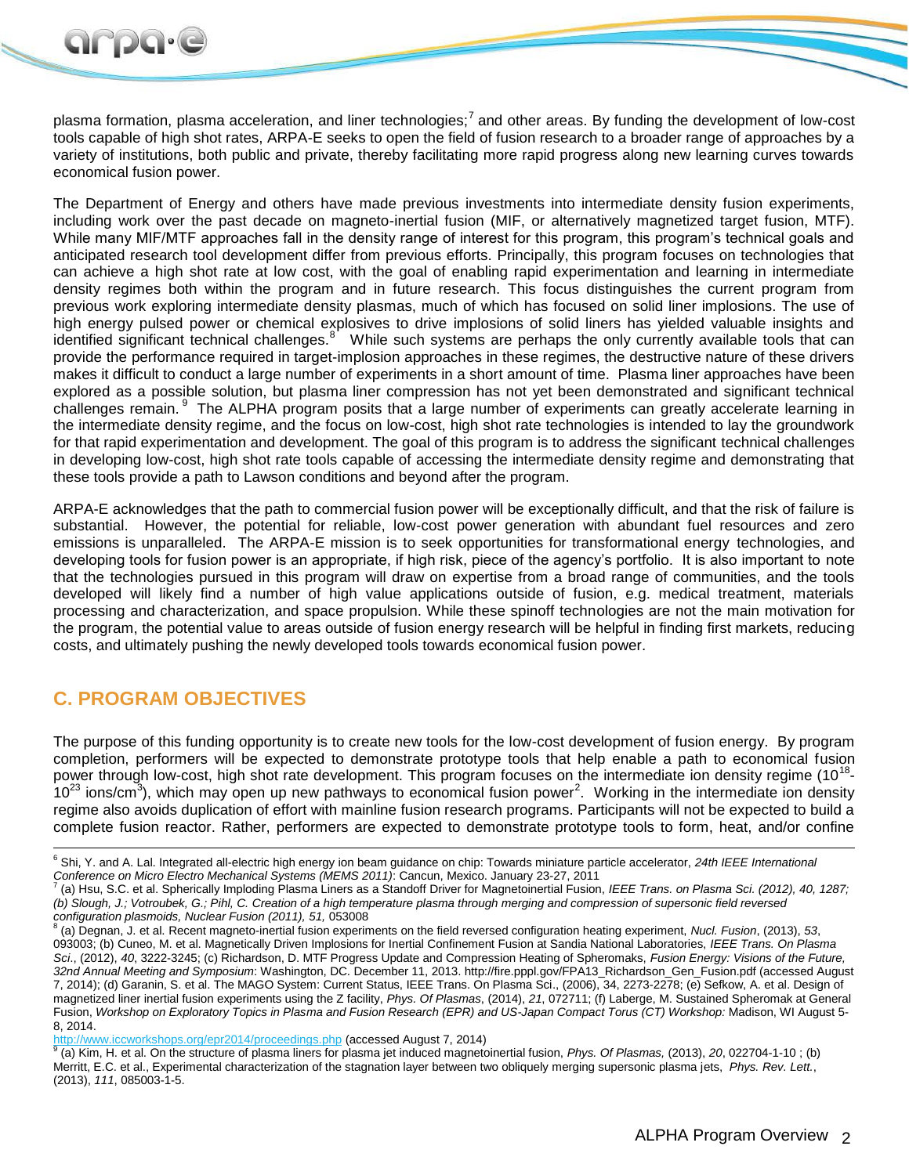

plasma formation, plasma acceleration, and liner technologies;<sup>7</sup> and other areas. By funding the development of low-cost tools capable of high shot rates, ARPA-E seeks to open the field of fusion research to a broader range of approaches by a variety of institutions, both public and private, thereby facilitating more rapid progress along new learning curves towards economical fusion power.

The Department of Energy and others have made previous investments into intermediate density fusion experiments, including work over the past decade on magneto-inertial fusion (MIF, or alternatively magnetized target fusion, MTF). While many MIF/MTF approaches fall in the density range of interest for this program, this program's technical goals and anticipated research tool development differ from previous efforts. Principally, this program focuses on technologies that can achieve a high shot rate at low cost, with the goal of enabling rapid experimentation and learning in intermediate density regimes both within the program and in future research. This focus distinguishes the current program from previous work exploring intermediate density plasmas, much of which has focused on solid liner implosions. The use of high energy pulsed power or chemical explosives to drive implosions of solid liners has yielded valuable insights and identified significant technical challenges.<sup>8</sup> While such systems are perhaps the only currently available tools that can provide the performance required in target-implosion approaches in these regimes, the destructive nature of these drivers makes it difficult to conduct a large number of experiments in a short amount of time. Plasma liner approaches have been explored as a possible solution, but plasma liner compression has not yet been demonstrated and significant technical challenges remain. <sup>9</sup> The ALPHA program posits that a large number of experiments can greatly accelerate learning in the intermediate density regime, and the focus on low-cost, high shot rate technologies is intended to lay the groundwork for that rapid experimentation and development. The goal of this program is to address the significant technical challenges in developing low-cost, high shot rate tools capable of accessing the intermediate density regime and demonstrating that these tools provide a path to Lawson conditions and beyond after the program.

ARPA-E acknowledges that the path to commercial fusion power will be exceptionally difficult, and that the risk of failure is substantial. However, the potential for reliable, low-cost power generation with abundant fuel resources and zero emissions is unparalleled. The ARPA-E mission is to seek opportunities for transformational energy technologies, and developing tools for fusion power is an appropriate, if high risk, piece of the agency's portfolio. It is also important to note that the technologies pursued in this program will draw on expertise from a broad range of communities, and the tools developed will likely find a number of high value applications outside of fusion, e.g. medical treatment, materials processing and characterization, and space propulsion. While these spinoff technologies are not the main motivation for the program, the potential value to areas outside of fusion energy research will be helpful in finding first markets, reducing costs, and ultimately pushing the newly developed tools towards economical fusion power.

### **C. PROGRAM OBJECTIVES**

The purpose of this funding opportunity is to create new tools for the low-cost development of fusion energy. By program completion, performers will be expected to demonstrate prototype tools that help enable a path to economical fusion power through low-cost, high shot rate development. This program focuses on the intermediate ion density regime (10<sup>18</sup>- $10^{23}$  ions/cm<sup>3</sup>), which may open up new pathways to economical fusion power<sup>2</sup>. Working in the intermediate ion density regime also avoids duplication of effort with mainline fusion research programs. Participants will not be expected to build a complete fusion reactor. Rather, performers are expected to demonstrate prototype tools to form, heat, and/or confine

//www.iccworkshops.org/epr2014/proceedings.php (accessed August 7, 2014)

<sup>6</sup> Shi, Y. and A. Lal. Integrated all-electric high energy ion beam guidance on chip: Towards miniature particle accelerator, *24th IEEE International Conference on Micro Electro Mechanical Systems (MEMS 2011)*: Cancun, Mexico. January 23-27, 2011

<sup>7</sup> (a) Hsu, S.C. et al. Spherically Imploding Plasma Liners as a Standoff Driver for Magnetoinertial Fusion, *IEEE Trans. on Plasma Sci. (2012), 40, 1287; (b) Slough, J.; Votroubek, G.; Pihl, C. Creation of a high temperature plasma through merging and compression of supersonic field reversed configuration plasmoids, Nuclear Fusion (2011), 51,* 053008

<sup>8</sup> (a) Degnan, J. et al. Recent magneto-inertial fusion experiments on the field reversed configuration heating experiment, *Nucl. Fusion*, (2013), *53*, 093003; (b) Cuneo, M. et al. Magnetically Driven Implosions for Inertial Confinement Fusion at Sandia National Laboratories, *IEEE Trans. On Plasma Sci*., (2012), *40*, 3222-3245; (c) Richardson, D. MTF Progress Update and Compression Heating of Spheromaks, *Fusion Energy: Visions of the Future, 32nd Annual Meeting and Symposium*: Washington, DC. December 11, 2013. http://fire.pppl.gov/FPA13\_Richardson\_Gen\_Fusion.pdf (accessed August 7, 2014); (d) Garanin, S. et al. The MAGO System: Current Status, IEEE Trans. On Plasma Sci., (2006), 34, 2273-2278; (e) Sefkow, A. et al. Design of magnetized liner inertial fusion experiments using the Z facility, *Phys. Of Plasmas*, (2014), *21*, 072711; (f) Laberge, M. Sustained Spheromak at General Fusion, *Workshop on Exploratory Topics in Plasma and Fusion Research (EPR) and US-Japan Compact Torus (CT) Workshop:* Madison, WI August 5- 8, 2014.

<sup>9</sup> (a) Kim, H. et al. On the structure of plasma liners for plasma jet induced magnetoinertial fusion, *Phys. Of Plasmas,* (2013), *20*, 022704-1-10 ; (b) Merritt, E.C. et al., Experimental characterization of the stagnation layer between two obliquely merging supersonic plasma jets, *Phys. Rev. Lett.*, (2013), *111*, 085003-1-5.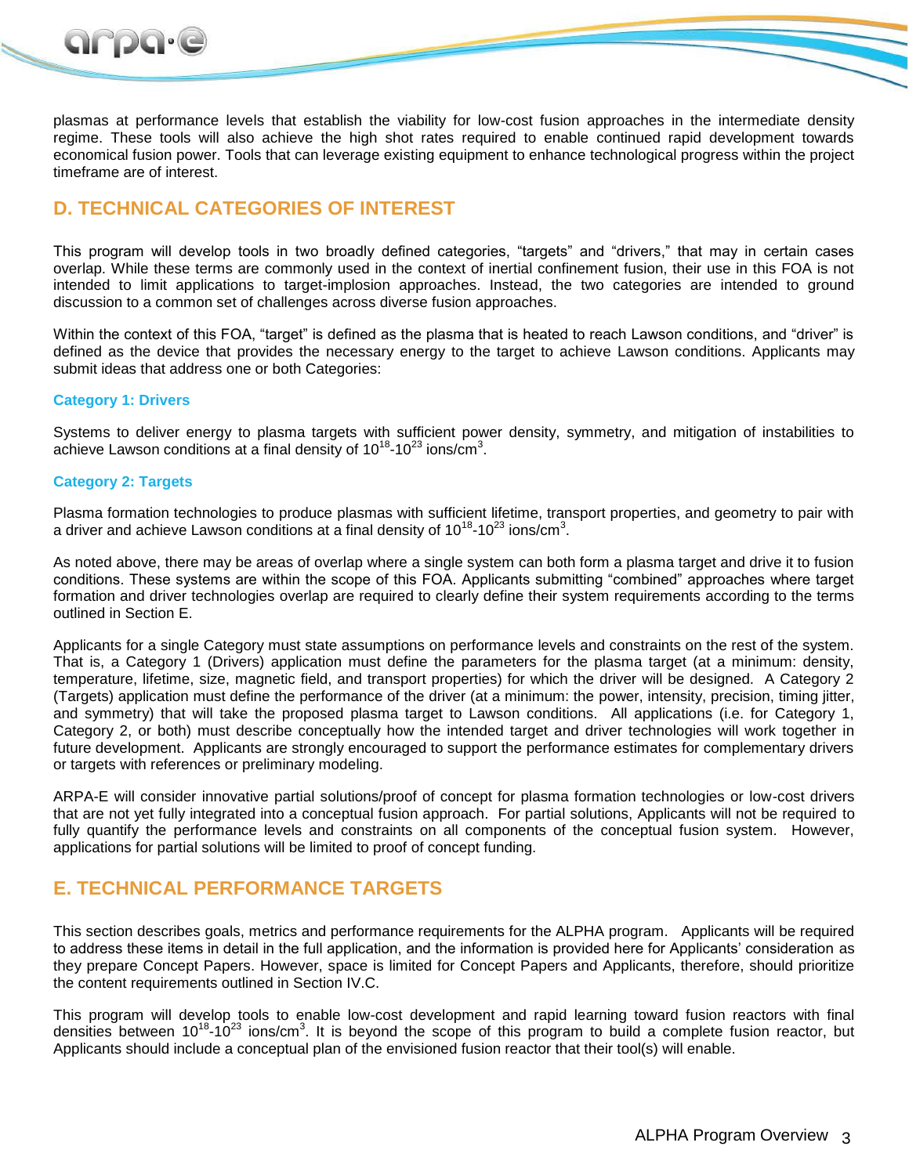

plasmas at performance levels that establish the viability for low-cost fusion approaches in the intermediate density regime. These tools will also achieve the high shot rates required to enable continued rapid development towards economical fusion power. Tools that can leverage existing equipment to enhance technological progress within the project timeframe are of interest.

### **D. TECHNICAL CATEGORIES OF INTEREST**

This program will develop tools in two broadly defined categories, "targets" and "drivers," that may in certain cases overlap. While these terms are commonly used in the context of inertial confinement fusion, their use in this FOA is not intended to limit applications to target-implosion approaches. Instead, the two categories are intended to ground discussion to a common set of challenges across diverse fusion approaches.

Within the context of this FOA, "target" is defined as the plasma that is heated to reach Lawson conditions, and "driver" is defined as the device that provides the necessary energy to the target to achieve Lawson conditions. Applicants may submit ideas that address one or both Categories:

#### **Category 1: Drivers**

Systems to deliver energy to plasma targets with sufficient power density, symmetry, and mitigation of instabilities to achieve Lawson conditions at a final density of  $10^{18}$ -10<sup>23</sup> ions/cm<sup>3</sup>.

#### **Category 2: Targets**

Plasma formation technologies to produce plasmas with sufficient lifetime, transport properties, and geometry to pair with a driver and achieve Lawson conditions at a final density of 10<sup>18</sup>-10<sup>23</sup> ions/cm<sup>3</sup>.

As noted above, there may be areas of overlap where a single system can both form a plasma target and drive it to fusion conditions. These systems are within the scope of this FOA. Applicants submitting "combined" approaches where target formation and driver technologies overlap are required to clearly define their system requirements according to the terms outlined in Section E.

Applicants for a single Category must state assumptions on performance levels and constraints on the rest of the system. That is, a Category 1 (Drivers) application must define the parameters for the plasma target (at a minimum: density, temperature, lifetime, size, magnetic field, and transport properties) for which the driver will be designed. A Category 2 (Targets) application must define the performance of the driver (at a minimum: the power, intensity, precision, timing jitter, and symmetry) that will take the proposed plasma target to Lawson conditions. All applications (i.e. for Category 1, Category 2, or both) must describe conceptually how the intended target and driver technologies will work together in future development. Applicants are strongly encouraged to support the performance estimates for complementary drivers or targets with references or preliminary modeling.

ARPA-E will consider innovative partial solutions/proof of concept for plasma formation technologies or low-cost drivers that are not yet fully integrated into a conceptual fusion approach. For partial solutions, Applicants will not be required to fully quantify the performance levels and constraints on all components of the conceptual fusion system. However, applications for partial solutions will be limited to proof of concept funding.

### **E. TECHNICAL PERFORMANCE TARGETS**

This section describes goals, metrics and performance requirements for the ALPHA program. Applicants will be required to address these items in detail in the full application, and the information is provided here for Applicants' consideration as they prepare Concept Papers. However, space is limited for Concept Papers and Applicants, therefore, should prioritize the content requirements outlined in Section IV.C.

This program will develop tools to enable low-cost development and rapid learning toward fusion reactors with final densities between 10<sup>18</sup>-10<sup>23</sup> ions/cm<sup>3</sup>. It is beyond the scope of this program to build a complete fusion reactor, but Applicants should include a conceptual plan of the envisioned fusion reactor that their tool(s) will enable.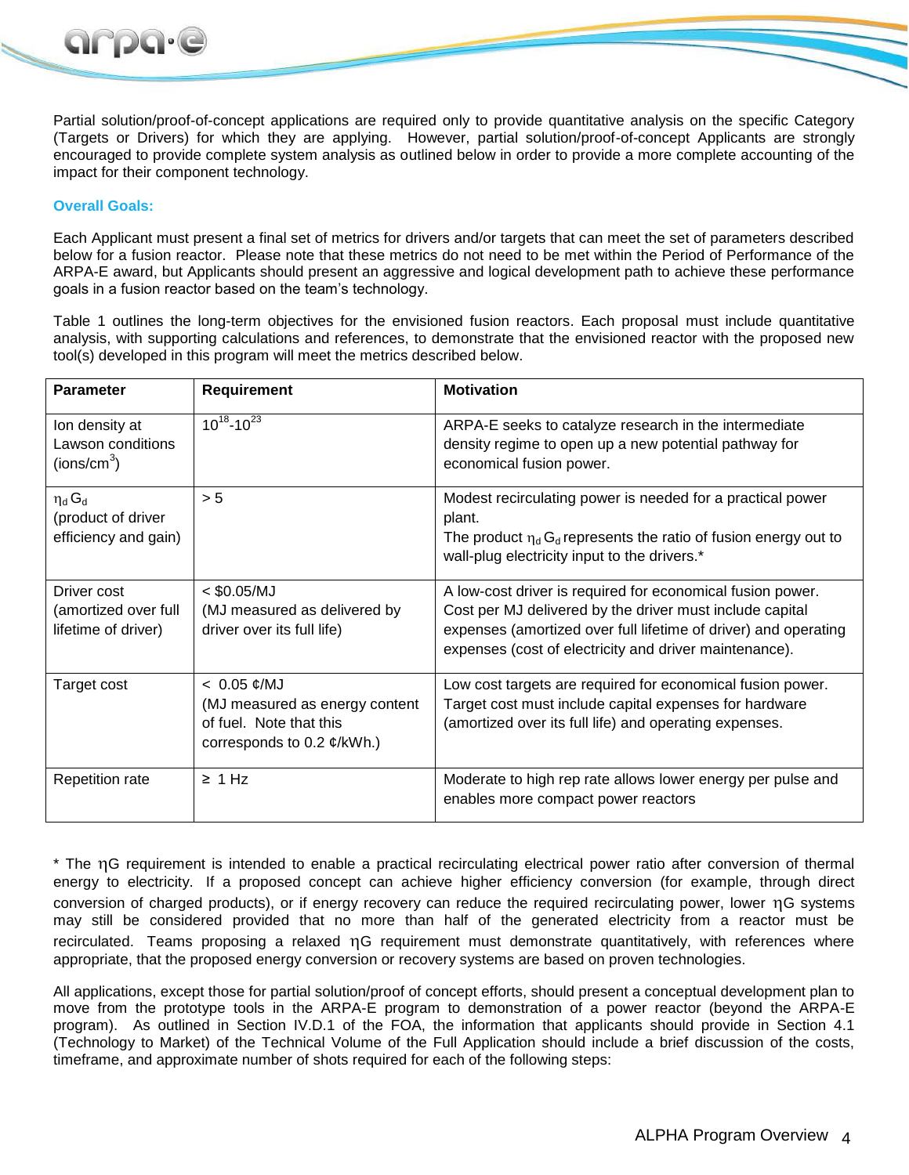Partial solution/proof-of-concept applications are required only to provide quantitative analysis on the specific Category (Targets or Drivers) for which they are applying. However, partial solution/proof-of-concept Applicants are strongly encouraged to provide complete system analysis as outlined below in order to provide a more complete accounting of the impact for their component technology.

#### **Overall Goals:**

arpa.e

Each Applicant must present a final set of metrics for drivers and/or targets that can meet the set of parameters described below for a fusion reactor. Please note that these metrics do not need to be met within the Period of Performance of the ARPA-E award, but Applicants should present an aggressive and logical development path to achieve these performance goals in a fusion reactor based on the team's technology.

Table 1 outlines the long-term objectives for the envisioned fusion reactors. Each proposal must include quantitative analysis, with supporting calculations and references, to demonstrate that the envisioned reactor with the proposed new tool(s) developed in this program will meet the metrics described below.

| <b>Parameter</b>                                                      | <b>Requirement</b>                                                                                                              | <b>Motivation</b>                                                                                                                                                                                                                                   |
|-----------------------------------------------------------------------|---------------------------------------------------------------------------------------------------------------------------------|-----------------------------------------------------------------------------------------------------------------------------------------------------------------------------------------------------------------------------------------------------|
| Ion density at<br>Lawson conditions<br>(ins/cm <sup>3</sup> )         | $10^{18} - 10^{23}$                                                                                                             | ARPA-E seeks to catalyze research in the intermediate<br>density regime to open up a new potential pathway for<br>economical fusion power.                                                                                                          |
| $\eta_d$ G <sub>d</sub><br>(product of driver<br>efficiency and gain) | > 5                                                                                                                             | Modest recirculating power is needed for a practical power<br>plant.<br>The product $\eta_d G_d$ represents the ratio of fusion energy out to<br>wall-plug electricity input to the drivers.*                                                       |
| Driver cost<br>(amortized over full<br>lifetime of driver)            | $<$ \$0.05/MJ<br>(MJ measured as delivered by<br>driver over its full life)                                                     | A low-cost driver is required for economical fusion power.<br>Cost per MJ delivered by the driver must include capital<br>expenses (amortized over full lifetime of driver) and operating<br>expenses (cost of electricity and driver maintenance). |
| Target cost                                                           | $< 0.05 \; \text{¢/MJ}$<br>(MJ measured as energy content<br>of fuel. Note that this<br>corresponds to 0.2 $\mathcal{C}/kWh$ .) | Low cost targets are required for economical fusion power.<br>Target cost must include capital expenses for hardware<br>(amortized over its full life) and operating expenses.                                                                      |
| <b>Repetition rate</b>                                                | $\geq$ 1 Hz                                                                                                                     | Moderate to high rep rate allows lower energy per pulse and<br>enables more compact power reactors                                                                                                                                                  |

\* The  $\eta$ G requirement is intended to enable a practical recirculating electrical power ratio after conversion of thermal energy to electricity. If a proposed concept can achieve higher efficiency conversion (for example, through direct conversion of charged products), or if energy recovery can reduce the required recirculating power, lower  $\eta$ G systems may still be considered provided that no more than half of the generated electricity from a reactor must be recirculated. Teams proposing a relaxed  $\eta$ G requirement must demonstrate quantitatively, with references where appropriate, that the proposed energy conversion or recovery systems are based on proven technologies.

All applications, except those for partial solution/proof of concept efforts, should present a conceptual development plan to move from the prototype tools in the ARPA-E program to demonstration of a power reactor (beyond the ARPA-E program). As outlined in Section IV.D.1 of the FOA, the information that applicants should provide in Section 4.1 (Technology to Market) of the Technical Volume of the Full Application should include a brief discussion of the costs, timeframe, and approximate number of shots required for each of the following steps: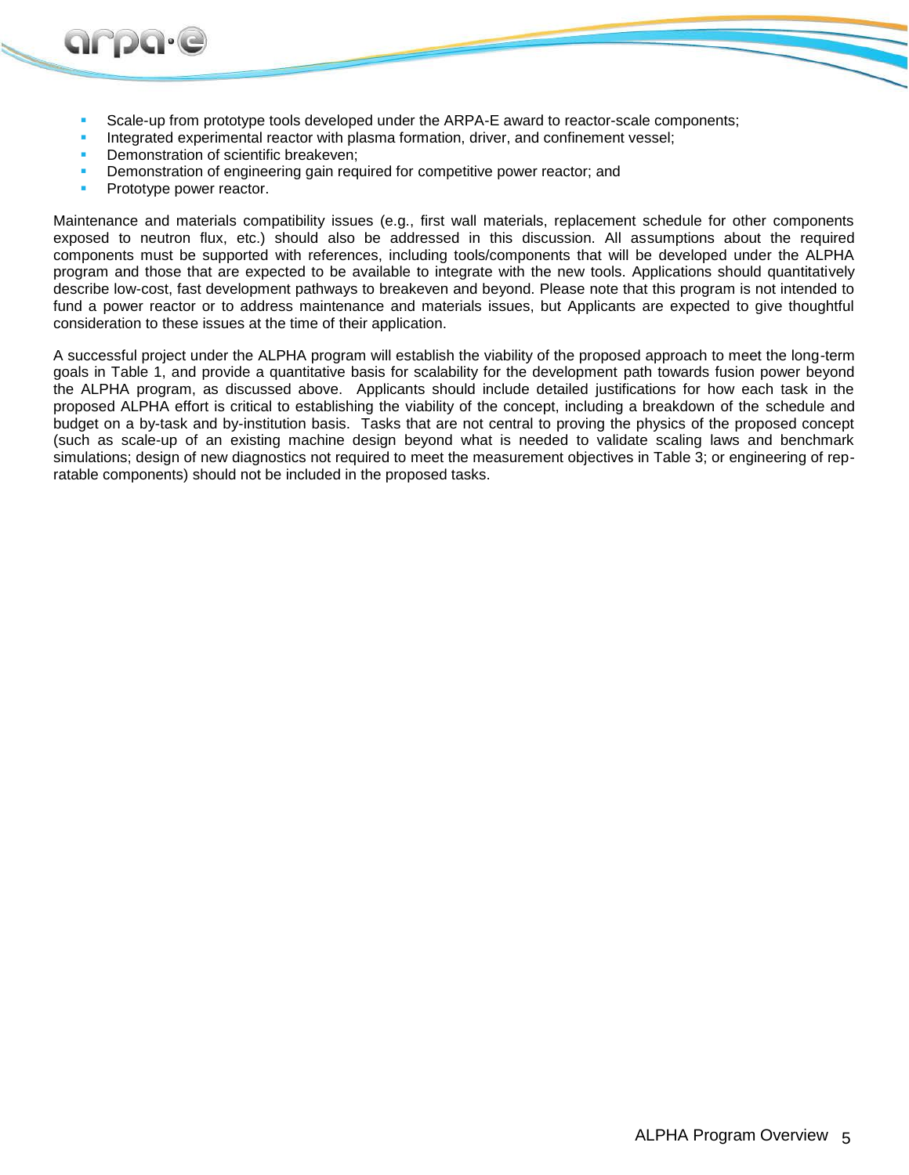- Scale-up from prototype tools developed under the ARPA-E award to reactor-scale components;
- Integrated experimental reactor with plasma formation, driver, and confinement vessel;
- Demonstration of scientific breakeven;
- Demonstration of engineering gain required for competitive power reactor; and
- Prototype power reactor.

arpa.e

Maintenance and materials compatibility issues (e.g., first wall materials, replacement schedule for other components exposed to neutron flux, etc.) should also be addressed in this discussion. All assumptions about the required components must be supported with references, including tools/components that will be developed under the ALPHA program and those that are expected to be available to integrate with the new tools. Applications should quantitatively describe low-cost, fast development pathways to breakeven and beyond. Please note that this program is not intended to fund a power reactor or to address maintenance and materials issues, but Applicants are expected to give thoughtful consideration to these issues at the time of their application.

A successful project under the ALPHA program will establish the viability of the proposed approach to meet the long-term goals in Table 1, and provide a quantitative basis for scalability for the development path towards fusion power beyond the ALPHA program, as discussed above. Applicants should include detailed justifications for how each task in the proposed ALPHA effort is critical to establishing the viability of the concept, including a breakdown of the schedule and budget on a by-task and by-institution basis. Tasks that are not central to proving the physics of the proposed concept (such as scale-up of an existing machine design beyond what is needed to validate scaling laws and benchmark simulations; design of new diagnostics not required to meet the measurement objectives in Table 3; or engineering of repratable components) should not be included in the proposed tasks.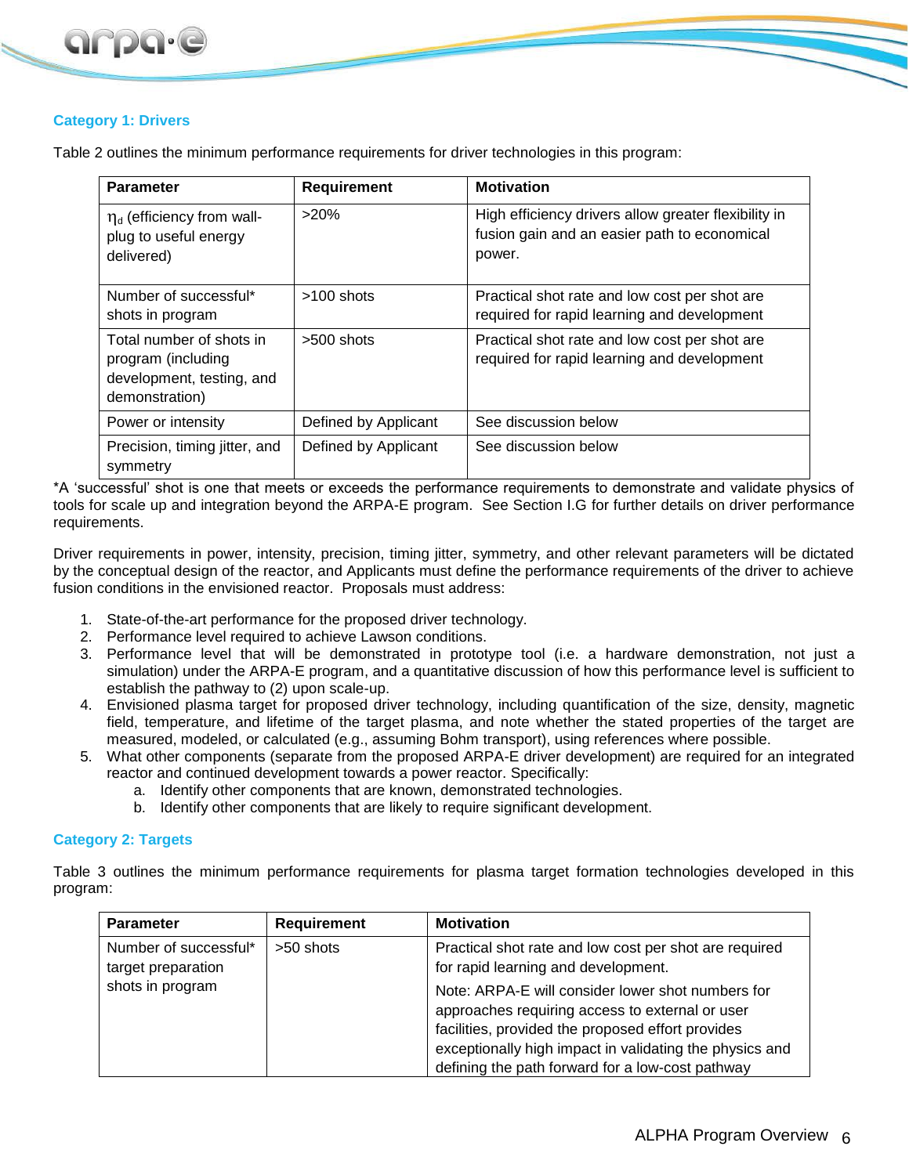#### **Category 1: Drivers**

Table 2 outlines the minimum performance requirements for driver technologies in this program:

| <b>Parameter</b>                                                                              | <b>Requirement</b>   | <b>Motivation</b>                                                                                              |
|-----------------------------------------------------------------------------------------------|----------------------|----------------------------------------------------------------------------------------------------------------|
| $\eta_d$ (efficiency from wall-<br>plug to useful energy<br>delivered)                        | $>20\%$              | High efficiency drivers allow greater flexibility in<br>fusion gain and an easier path to economical<br>power. |
| Number of successful*<br>shots in program                                                     | $>100$ shots         | Practical shot rate and low cost per shot are<br>required for rapid learning and development                   |
| Total number of shots in<br>program (including<br>development, testing, and<br>demonstration) | $>500$ shots         | Practical shot rate and low cost per shot are<br>required for rapid learning and development                   |
| Power or intensity                                                                            | Defined by Applicant | See discussion below                                                                                           |
| Precision, timing jitter, and<br>symmetry                                                     | Defined by Applicant | See discussion below                                                                                           |

\*A 'successful' shot is one that meets or exceeds the performance requirements to demonstrate and validate physics of tools for scale up and integration beyond the ARPA-E program. See Section I.G for further details on driver performance requirements.

Driver requirements in power, intensity, precision, timing jitter, symmetry, and other relevant parameters will be dictated by the conceptual design of the reactor, and Applicants must define the performance requirements of the driver to achieve fusion conditions in the envisioned reactor. Proposals must address:

- 1. State-of-the-art performance for the proposed driver technology.
- 2. Performance level required to achieve Lawson conditions.
- 3. Performance level that will be demonstrated in prototype tool (i.e. a hardware demonstration, not just a simulation) under the ARPA-E program, and a quantitative discussion of how this performance level is sufficient to establish the pathway to (2) upon scale-up.
- 4. Envisioned plasma target for proposed driver technology, including quantification of the size, density, magnetic field, temperature, and lifetime of the target plasma, and note whether the stated properties of the target are measured, modeled, or calculated (e.g., assuming Bohm transport), using references where possible.
- 5. What other components (separate from the proposed ARPA-E driver development) are required for an integrated reactor and continued development towards a power reactor. Specifically:
	- a. Identify other components that are known, demonstrated technologies.
	- b. Identify other components that are likely to require significant development.

#### **Category 2: Targets**

Table 3 outlines the minimum performance requirements for plasma target formation technologies developed in this program:

| <b>Parameter</b>                            | <b>Requirement</b> | <b>Motivation</b>                                                                                                                                                                                                                                                        |
|---------------------------------------------|--------------------|--------------------------------------------------------------------------------------------------------------------------------------------------------------------------------------------------------------------------------------------------------------------------|
| Number of successful*<br>target preparation | $>50$ shots        | Practical shot rate and low cost per shot are required<br>for rapid learning and development.                                                                                                                                                                            |
| shots in program                            |                    | Note: ARPA-E will consider lower shot numbers for<br>approaches requiring access to external or user<br>facilities, provided the proposed effort provides<br>exceptionally high impact in validating the physics and<br>defining the path forward for a low-cost pathway |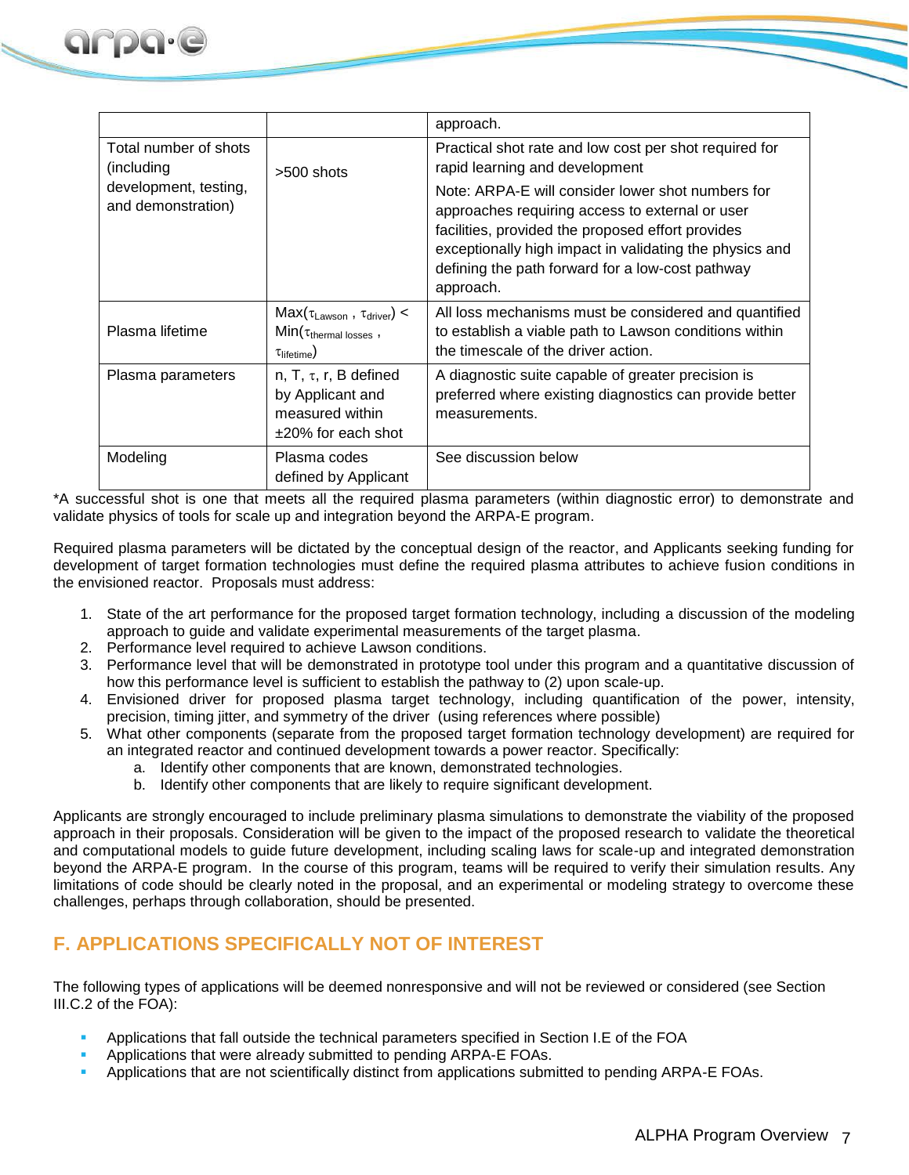|                                             |                                                                                                                        | approach.                                                                                                                                                                                                                                                                             |
|---------------------------------------------|------------------------------------------------------------------------------------------------------------------------|---------------------------------------------------------------------------------------------------------------------------------------------------------------------------------------------------------------------------------------------------------------------------------------|
| Total number of shots<br>(including         | $>500$ shots                                                                                                           | Practical shot rate and low cost per shot required for<br>rapid learning and development                                                                                                                                                                                              |
| development, testing,<br>and demonstration) |                                                                                                                        | Note: ARPA-E will consider lower shot numbers for<br>approaches requiring access to external or user<br>facilities, provided the proposed effort provides<br>exceptionally high impact in validating the physics and<br>defining the path forward for a low-cost pathway<br>approach. |
| Plasma lifetime                             | $\textsf{Max}(\tau_{\textsf{Lawson}} , \tau_{\textsf{driver}})$ <<br>$Min(\tau_{thermal losses}$ ,<br>$\tau$ lifetime) | All loss mechanisms must be considered and quantified<br>to establish a viable path to Lawson conditions within<br>the timescale of the driver action.                                                                                                                                |
| Plasma parameters                           | n, T, $\tau$ , r, B defined<br>by Applicant and<br>measured within<br>$\pm$ 20% for each shot                          | A diagnostic suite capable of greater precision is<br>preferred where existing diagnostics can provide better<br>measurements.                                                                                                                                                        |
| Modeling                                    | Plasma codes<br>defined by Applicant                                                                                   | See discussion below                                                                                                                                                                                                                                                                  |

\*A successful shot is one that meets all the required plasma parameters (within diagnostic error) to demonstrate and validate physics of tools for scale up and integration beyond the ARPA-E program.

Required plasma parameters will be dictated by the conceptual design of the reactor, and Applicants seeking funding for development of target formation technologies must define the required plasma attributes to achieve fusion conditions in the envisioned reactor. Proposals must address:

- 1. State of the art performance for the proposed target formation technology, including a discussion of the modeling approach to guide and validate experimental measurements of the target plasma.
- 2. Performance level required to achieve Lawson conditions.
- 3. Performance level that will be demonstrated in prototype tool under this program and a quantitative discussion of how this performance level is sufficient to establish the pathway to (2) upon scale-up.
- 4. Envisioned driver for proposed plasma target technology, including quantification of the power, intensity, precision, timing jitter, and symmetry of the driver (using references where possible)
- 5. What other components (separate from the proposed target formation technology development) are required for an integrated reactor and continued development towards a power reactor. Specifically:
	- a. Identify other components that are known, demonstrated technologies.
	- b. Identify other components that are likely to require significant development.

Applicants are strongly encouraged to include preliminary plasma simulations to demonstrate the viability of the proposed approach in their proposals. Consideration will be given to the impact of the proposed research to validate the theoretical and computational models to guide future development, including scaling laws for scale-up and integrated demonstration beyond the ARPA-E program. In the course of this program, teams will be required to verify their simulation results. Any limitations of code should be clearly noted in the proposal, and an experimental or modeling strategy to overcome these challenges, perhaps through collaboration, should be presented.

## **F. APPLICATIONS SPECIFICALLY NOT OF INTEREST**

The following types of applications will be deemed nonresponsive and will not be reviewed or considered (see Section III.C.2 of the FOA):

- Applications that fall outside the technical parameters specified in Section I.E of the FOA
- Applications that were already submitted to pending ARPA-E FOAs.
- Applications that are not scientifically distinct from applications submitted to pending ARPA-E FOAs.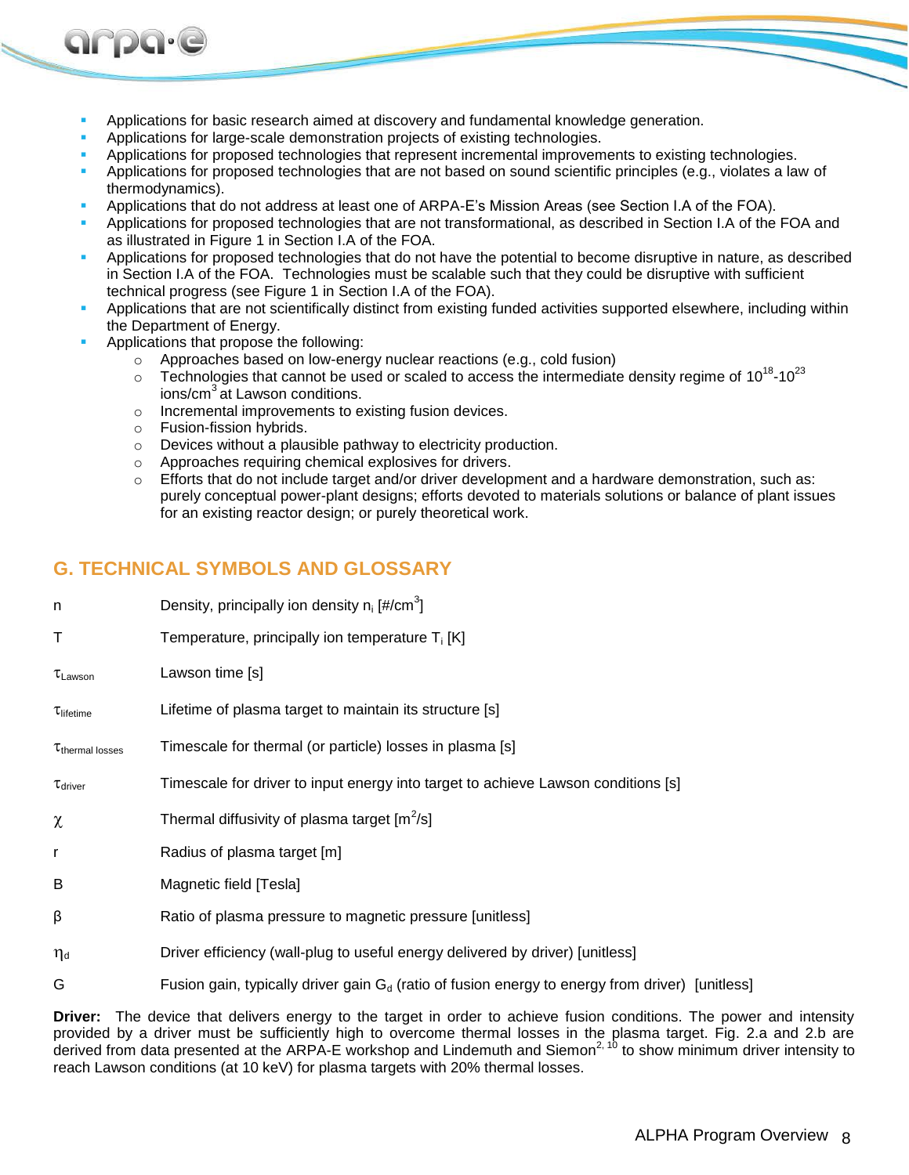- Applications for basic research aimed at discovery and fundamental knowledge generation.
- Applications for large-scale demonstration projects of existing technologies.
- Applications for proposed technologies that represent incremental improvements to existing technologies.
- Applications for proposed technologies that are not based on sound scientific principles (e.g., violates a law of thermodynamics).
- Applications that do not address at least one of ARPA-E's Mission Areas (see Section I.A of the FOA).
- Applications for proposed technologies that are not transformational, as described in Section I.A of the FOA and as illustrated in Figure 1 in Section I.A of the FOA.
- Applications for proposed technologies that do not have the potential to become disruptive in nature, as described in Section I.A of the FOA. Technologies must be scalable such that they could be disruptive with sufficient technical progress (see Figure 1 in Section I.A of the FOA).
- Applications that are not scientifically distinct from existing funded activities supported elsewhere, including within the Department of Energy.
- Applications that propose the following:

arpa·e

- o Approaches based on low-energy nuclear reactions (e.g., cold fusion)
- $\circ$  Technologies that cannot be used or scaled to access the intermediate density regime of 10<sup>18</sup>-10<sup>23</sup> ions/cm<sup>3</sup> at Lawson conditions.
- o Incremental improvements to existing fusion devices.
- o Fusion-fission hybrids.
- o Devices without a plausible pathway to electricity production.
- o Approaches requiring chemical explosives for drivers.
- $\circ$  Efforts that do not include target and/or driver development and a hardware demonstration, such as: purely conceptual power-plant designs; efforts devoted to materials solutions or balance of plant issues for an existing reactor design; or purely theoretical work.

### **G. TECHNICAL SYMBOLS AND GLOSSARY**

| n                                | Density, principally ion density $n_i$ [#/cm <sup>3</sup> ]                                           |
|----------------------------------|-------------------------------------------------------------------------------------------------------|
| Τ                                | Temperature, principally ion temperature $T_i$ [K]                                                    |
| $\tau_{\text{Lawson}}$           | Lawson time [s]                                                                                       |
| $\tau_{\text{lifetime}}$         | Lifetime of plasma target to maintain its structure [s]                                               |
| $\tau$ <sub>thermal</sub> losses | Timescale for thermal (or particle) losses in plasma [s]                                              |
| $\tau_{\text{driver}}$           | Timescale for driver to input energy into target to achieve Lawson conditions [s]                     |
| χ                                | Thermal diffusivity of plasma target $[m^2/s]$                                                        |
| r                                | Radius of plasma target [m]                                                                           |
| В                                | Magnetic field [Tesla]                                                                                |
| β                                | Ratio of plasma pressure to magnetic pressure [unitless]                                              |
| $\eta_{\mathsf{d}}$              | Driver efficiency (wall-plug to useful energy delivered by driver) [unitless]                         |
| G                                | Fusion gain, typically driver gain $G_d$ (ratio of fusion energy to energy from driver)<br>[unitless] |

**Driver:** The device that delivers energy to the target in order to achieve fusion conditions. The power and intensity provided by a driver must be sufficiently high to overcome thermal losses in the plasma target. Fig. 2.a and 2.b are derived from data presented at the ARPA-E workshop and Lindemuth and Siemon<sup>2, 10</sup> to show minimum driver intensity to reach Lawson conditions (at 10 keV) for plasma targets with 20% thermal losses.